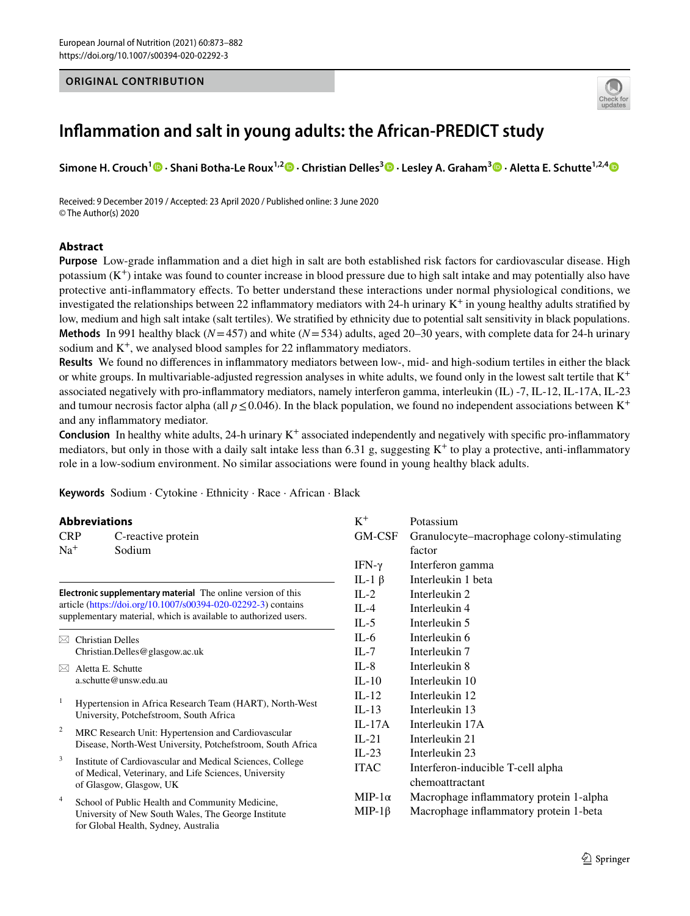## **ORIGINAL CONTRIBUTION**



# **Infammation and salt in young adults: the African‑PREDICT study**

**Simone H. Crouch1 · Shani Botha‑Le Roux1,2 · Christian Delles3 · Lesley A. Graham3  [·](http://orcid.org/0000-0002-3901-5213) Aletta E. Schutte1,2,[4](http://orcid.org/0000-0001-9217-4937)**

Received: 9 December 2019 / Accepted: 23 April 2020 / Published online: 3 June 2020 © The Author(s) 2020

## **Abstract**

**Purpose** Low-grade infammation and a diet high in salt are both established risk factors for cardiovascular disease. High potassium  $(K^+)$  intake was found to counter increase in blood pressure due to high salt intake and may potentially also have protective anti-infammatory efects. To better understand these interactions under normal physiological conditions, we investigated the relationships between 22 inflammatory mediators with 24-h urinary  $K^+$  in young healthy adults stratified by low, medium and high salt intake (salt tertiles). We stratifed by ethnicity due to potential salt sensitivity in black populations. **Methods** In 991 healthy black (*N*=457) and white (*N*=534) adults, aged 20–30 years, with complete data for 24-h urinary sodium and  $K^+$ , we analysed blood samples for 22 inflammatory mediators.

**Results** We found no diferences in infammatory mediators between low-, mid- and high-sodium tertiles in either the black or white groups. In multivariable-adjusted regression analyses in white adults, we found only in the lowest salt tertile that  $K^+$ associated negatively with pro-infammatory mediators, namely interferon gamma, interleukin (IL) -7, IL-12, IL-17A, IL-23 and tumour necrosis factor alpha (all  $p \le 0.046$ ). In the black population, we found no independent associations between K<sup>+</sup> and any infammatory mediator.

**Conclusion** In healthy white adults, 24-h urinary  $K^+$  associated independently and negatively with specific pro-inflammatory mediators, but only in those with a daily salt intake less than 6.31 g, suggesting  $K^+$  to play a protective, anti-inflammatory role in a low-sodium environment. No similar associations were found in young healthy black adults.

**Keywords** Sodium · Cytokine · Ethnicity · Race · African · Black

## **Abbreviations**

| <b>Abbreviations</b>                                                                                                                                                                             |                                                                                                                                                |                    | $K^+$         | Potassium                                 |  |  |
|--------------------------------------------------------------------------------------------------------------------------------------------------------------------------------------------------|------------------------------------------------------------------------------------------------------------------------------------------------|--------------------|---------------|-------------------------------------------|--|--|
| <b>CRP</b>                                                                                                                                                                                       |                                                                                                                                                | C-reactive protein | GM-CSF        | Granulocyte–macrophage colony-stimulating |  |  |
| $Na+$                                                                                                                                                                                            | Sodium                                                                                                                                         |                    |               | factor                                    |  |  |
|                                                                                                                                                                                                  |                                                                                                                                                |                    | IFN- $\gamma$ | Interferon gamma                          |  |  |
|                                                                                                                                                                                                  |                                                                                                                                                |                    | IL-1 $\beta$  | Interleukin 1 beta                        |  |  |
| Electronic supplementary material The online version of this<br>article (https://doi.org/10.1007/s00394-020-02292-3) contains<br>supplementary material, which is available to authorized users. |                                                                                                                                                |                    | $IL-2$        | Interleukin 2                             |  |  |
|                                                                                                                                                                                                  |                                                                                                                                                |                    | $IL-4$        | Interleukin 4                             |  |  |
|                                                                                                                                                                                                  |                                                                                                                                                |                    | IL-5          | Interleukin 5                             |  |  |
| M                                                                                                                                                                                                | <b>Christian Delles</b>                                                                                                                        |                    |               | Interleukin 6                             |  |  |
|                                                                                                                                                                                                  | Christian.Delles@glasgow.ac.uk                                                                                                                 |                    | $IL-7$        | Interleukin 7                             |  |  |
| $\bowtie$                                                                                                                                                                                        | Aletta E. Schutte<br>a.schutte@unsw.edu.au                                                                                                     |                    | $IL-8$        | Interleukin 8                             |  |  |
|                                                                                                                                                                                                  |                                                                                                                                                |                    | $IL-10$       | Interleukin 10                            |  |  |
| -1                                                                                                                                                                                               | Hypertension in Africa Research Team (HART), North-West<br>University, Potchefstroom, South Africa                                             |                    | $IL-12$       | Interleukin 12                            |  |  |
|                                                                                                                                                                                                  |                                                                                                                                                |                    | $IL-13$       | Interleukin 13                            |  |  |
| $\overline{\mathbf{c}}$                                                                                                                                                                          | MRC Research Unit: Hypertension and Cardiovascular<br>Disease, North-West University, Potchefstroom, South Africa                              |                    | $IL-17A$      | Interleukin 17A                           |  |  |
|                                                                                                                                                                                                  |                                                                                                                                                |                    | $IL-21$       | Interleukin 21                            |  |  |
| 3                                                                                                                                                                                                | Institute of Cardiovascular and Medical Sciences, College<br>of Medical, Veterinary, and Life Sciences, University<br>of Glasgow, Glasgow, UK  |                    | $IL-23$       | Interleukin 23                            |  |  |
|                                                                                                                                                                                                  |                                                                                                                                                |                    | <b>ITAC</b>   | Interferon-inducible T-cell alpha         |  |  |
|                                                                                                                                                                                                  |                                                                                                                                                |                    |               | chemoattractant                           |  |  |
| $\overline{4}$                                                                                                                                                                                   | School of Public Health and Community Medicine,<br>University of New South Wales, The George Institute<br>for Global Health, Sydney, Australia |                    | $MIP-1\alpha$ | Macrophage inflammatory protein 1-alpha   |  |  |
|                                                                                                                                                                                                  |                                                                                                                                                |                    | $MIP-1\beta$  | Macrophage inflammatory protein 1-beta    |  |  |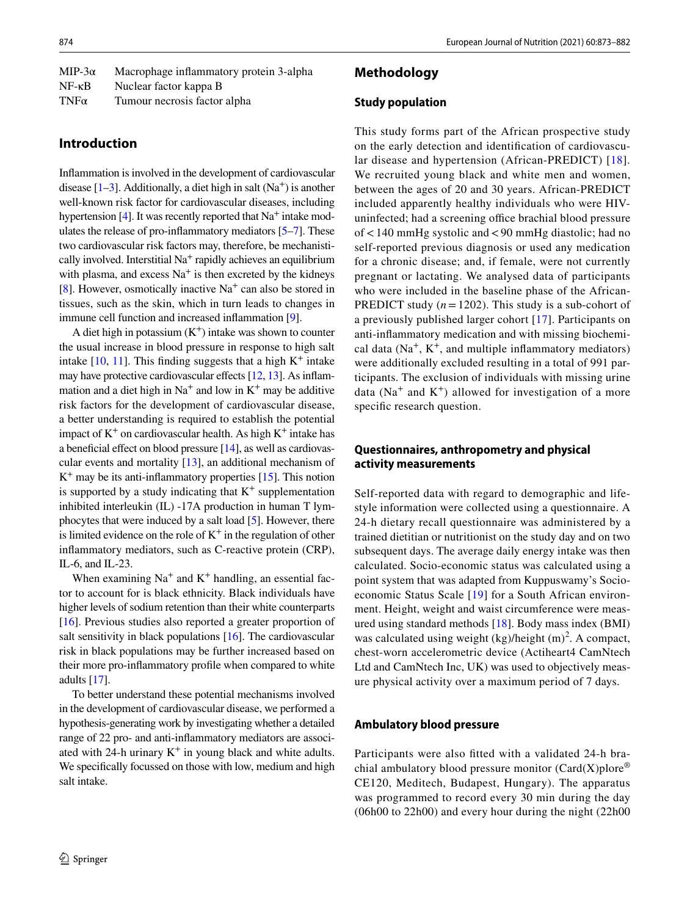| MIP-3 $\alpha$  | Macrophage inflammatory protein 3-alpha |
|-----------------|-----------------------------------------|
| $NF - \kappa B$ | Nuclear factor kappa B                  |
| $TNF\alpha$     | Tumour necrosis factor alpha            |

## **Introduction**

Infammation is involved in the development of cardiovascular disease  $[1-3]$  $[1-3]$ . Additionally, a diet high in salt  $(Na<sup>+</sup>)$  is another well-known risk factor for cardiovascular diseases, including hypertension [[4](#page-8-2)]. It was recently reported that  $Na<sup>+</sup>$  intake modulates the release of pro-infammatory mediators [\[5](#page-8-3)[–7](#page-8-4)]. These two cardiovascular risk factors may, therefore, be mechanistically involved. Interstitial  $Na<sup>+</sup>$  rapidly achieves an equilibrium with plasma, and excess  $Na<sup>+</sup>$  is then excreted by the kidneys [\[8](#page-8-5)]. However, osmotically inactive  $Na<sup>+</sup>$  can also be stored in tissues, such as the skin, which in turn leads to changes in immune cell function and increased infammation [\[9](#page-8-6)].

A diet high in potassium  $(K^+)$  intake was shown to counter the usual increase in blood pressure in response to high salt intake  $[10, 11]$  $[10, 11]$  $[10, 11]$  $[10, 11]$ . This finding suggests that a high  $K^+$  intake may have protective cardiovascular effects [\[12,](#page-8-9) [13\]](#page-8-10). As inflammation and a diet high in  $Na^+$  and low in  $K^+$  may be additive risk factors for the development of cardiovascular disease, a better understanding is required to establish the potential impact of  $K^+$  on cardiovascular health. As high  $K^+$  intake has a beneficial effect on blood pressure  $[14]$  $[14]$ , as well as cardiovascular events and mortality [[13](#page-8-10)], an additional mechanism of  $K^+$  may be its anti-inflammatory properties [\[15](#page-9-1)]. This notion is supported by a study indicating that  $K^+$  supplementation inhibited interleukin (IL) -17A production in human T lymphocytes that were induced by a salt load [[5\]](#page-8-3). However, there is limited evidence on the role of  $K^+$  in the regulation of other infammatory mediators, such as C-reactive protein (CRP), IL-6, and IL-23.

When examining  $Na<sup>+</sup>$  and  $K<sup>+</sup>$  handling, an essential factor to account for is black ethnicity. Black individuals have higher levels of sodium retention than their white counterparts [\[16](#page-9-2)]. Previous studies also reported a greater proportion of salt sensitivity in black populations [[16\]](#page-9-2). The cardiovascular risk in black populations may be further increased based on their more pro-infammatory profle when compared to white adults [[17\]](#page-9-3).

To better understand these potential mechanisms involved in the development of cardiovascular disease, we performed a hypothesis-generating work by investigating whether a detailed range of 22 pro- and anti-infammatory mediators are associated with 24-h urinary  $K^+$  in young black and white adults. We specifcally focussed on those with low, medium and high salt intake.

## **Methodology**

### **Study population**

This study forms part of the African prospective study on the early detection and identifcation of cardiovascular disease and hypertension (African-PREDICT) [\[18\]](#page-9-4). We recruited young black and white men and women, between the ages of 20 and 30 years. African-PREDICT included apparently healthy individuals who were HIVuninfected; had a screening office brachial blood pressure of<140 mmHg systolic and<90 mmHg diastolic; had no self-reported previous diagnosis or used any medication for a chronic disease; and, if female, were not currently pregnant or lactating. We analysed data of participants who were included in the baseline phase of the African-PREDICT study (*n*=1202). This study is a sub-cohort of a previously published larger cohort [[17](#page-9-3)]. Participants on anti-infammatory medication and with missing biochemical data  $(Na^+, K^+,$  and multiple inflammatory mediators) were additionally excluded resulting in a total of 991 participants. The exclusion of individuals with missing urine data ( $Na<sup>+</sup>$  and  $K<sup>+</sup>$ ) allowed for investigation of a more specifc research question.

## **Questionnaires, anthropometry and physical activity measurements**

Self-reported data with regard to demographic and lifestyle information were collected using a questionnaire. A 24-h dietary recall questionnaire was administered by a trained dietitian or nutritionist on the study day and on two subsequent days. The average daily energy intake was then calculated. Socio-economic status was calculated using a point system that was adapted from Kuppuswamy's Socioeconomic Status Scale [\[19\]](#page-9-5) for a South African environment. Height, weight and waist circumference were measured using standard methods [[18](#page-9-4)]. Body mass index (BMI) was calculated using weight  $(kg)/height (m)<sup>2</sup>$ . A compact, chest-worn accelerometric device (Actiheart4 CamNtech Ltd and CamNtech Inc, UK) was used to objectively measure physical activity over a maximum period of 7 days.

## **Ambulatory blood pressure**

Participants were also ftted with a validated 24-h brachial ambulatory blood pressure monitor  $(Card(X))$ plore<sup>®</sup> CE120, Meditech, Budapest, Hungary). The apparatus was programmed to record every 30 min during the day (06h00 to 22h00) and every hour during the night (22h00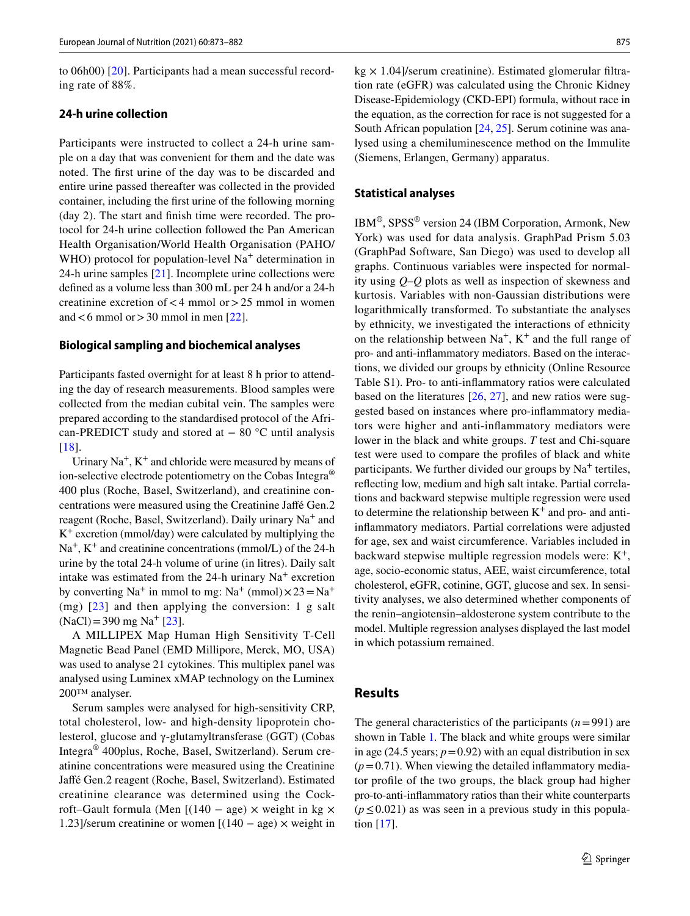to 06h00) [\[20\]](#page-9-6). Participants had a mean successful recording rate of 88%.

## **24‑h urine collection**

Participants were instructed to collect a 24-h urine sample on a day that was convenient for them and the date was noted. The frst urine of the day was to be discarded and entire urine passed thereafter was collected in the provided container, including the frst urine of the following morning (day 2). The start and fnish time were recorded. The protocol for 24-h urine collection followed the Pan American Health Organisation/World Health Organisation (PAHO/ WHO) protocol for population-level  $Na<sup>+</sup>$  determination in 24-h urine samples [[21\]](#page-9-7). Incomplete urine collections were defned as a volume less than 300 mL per 24 h and/or a 24-h creatinine excretion of  $<$  4 mmol or  $>$  25 mmol in women and  $<$  6 mmol or  $>$  30 mmol in men [\[22\]](#page-9-8).

#### **Biological sampling and biochemical analyses**

Participants fasted overnight for at least 8 h prior to attending the day of research measurements. Blood samples were collected from the median cubital vein. The samples were prepared according to the standardised protocol of the African-PREDICT study and stored at  $-80$  °C until analysis [\[18\]](#page-9-4).

Urinary  $Na^+$ ,  $K^+$  and chloride were measured by means of ion-selective electrode potentiometry on the Cobas Integra<sup>®</sup> 400 plus (Roche, Basel, Switzerland), and creatinine concentrations were measured using the Creatinine Jafé Gen.2 reagent (Roche, Basel, Switzerland). Daily urinary Na+ and  $K^+$  excretion (mmol/day) were calculated by multiplying the  $Na<sup>+</sup>, K<sup>+</sup>$  and creatinine concentrations (mmol/L) of the 24-h urine by the total 24-h volume of urine (in litres). Daily salt intake was estimated from the 24-h urinary  $Na<sup>+</sup>$  excretion by converting Na<sup>+</sup> in mmol to mg: Na<sup>+</sup> (mmol) $\times$ 23=Na<sup>+</sup> (mg)  $[23]$  $[23]$  and then applying the conversion: 1 g salt  $(NaCl) = 390$  mg Na<sup>+</sup> [[23\]](#page-9-9).

A MILLIPEX Map Human High Sensitivity T-Cell Magnetic Bead Panel (EMD Millipore, Merck, MO, USA) was used to analyse 21 cytokines. This multiplex panel was analysed using Luminex xMAP technology on the Luminex 200™ analyser.

Serum samples were analysed for high-sensitivity CRP, total cholesterol, low- and high-density lipoprotein cholesterol, glucose and γ-glutamyltransferase (GGT) (Cobas Integra® 400plus, Roche, Basel, Switzerland). Serum creatinine concentrations were measured using the Creatinine Jafé Gen.2 reagent (Roche, Basel, Switzerland). Estimated creatinine clearance was determined using the Cockroft–Gault formula (Men  $[(140 - age) \times weight in kg \times$ 1.23]/serum creatinine or women  $[(140 - age) \times weight in$   $kg \times 1.04$ /serum creatinine). Estimated glomerular filtration rate (eGFR) was calculated using the Chronic Kidney Disease-Epidemiology (CKD-EPI) formula, without race in the equation, as the correction for race is not suggested for a South African population [\[24](#page-9-10), [25](#page-9-11)]. Serum cotinine was analysed using a chemiluminescence method on the Immulite (Siemens, Erlangen, Germany) apparatus.

## **Statistical analyses**

IBM®, SPSS® version 24 (IBM Corporation, Armonk, New York) was used for data analysis. GraphPad Prism 5.03 (GraphPad Software, San Diego) was used to develop all graphs. Continuous variables were inspected for normality using *Q*–*Q* plots as well as inspection of skewness and kurtosis. Variables with non-Gaussian distributions were logarithmically transformed. To substantiate the analyses by ethnicity, we investigated the interactions of ethnicity on the relationship between  $Na<sup>+</sup>$ ,  $K<sup>+</sup>$  and the full range of pro- and anti-infammatory mediators. Based on the interactions, we divided our groups by ethnicity (Online Resource Table S1). Pro- to anti-infammatory ratios were calculated based on the literatures [\[26,](#page-9-12) [27](#page-9-13)], and new ratios were suggested based on instances where pro-infammatory mediators were higher and anti-infammatory mediators were lower in the black and white groups. *T* test and Chi-square test were used to compare the profles of black and white participants. We further divided our groups by  $Na<sup>+</sup>$  tertiles, refecting low, medium and high salt intake. Partial correlations and backward stepwise multiple regression were used to determine the relationship between  $K^+$  and pro- and antiinfammatory mediators. Partial correlations were adjusted for age, sex and waist circumference. Variables included in backward stepwise multiple regression models were:  $K^+$ , age, socio-economic status, AEE, waist circumference, total cholesterol, eGFR, cotinine, GGT, glucose and sex. In sensitivity analyses, we also determined whether components of the renin–angiotensin–aldosterone system contribute to the model. Multiple regression analyses displayed the last model in which potassium remained.

## **Results**

The general characteristics of the participants (*n*=991) are shown in Table [1](#page-3-0)*.* The black and white groups were similar in age (24.5 years;  $p=0.92$ ) with an equal distribution in sex  $(p=0.71)$ . When viewing the detailed inflammatory mediator profle of the two groups, the black group had higher pro-to-anti-infammatory ratios than their white counterparts (*p*≤0.021) as was seen in a previous study in this population [[17\]](#page-9-3).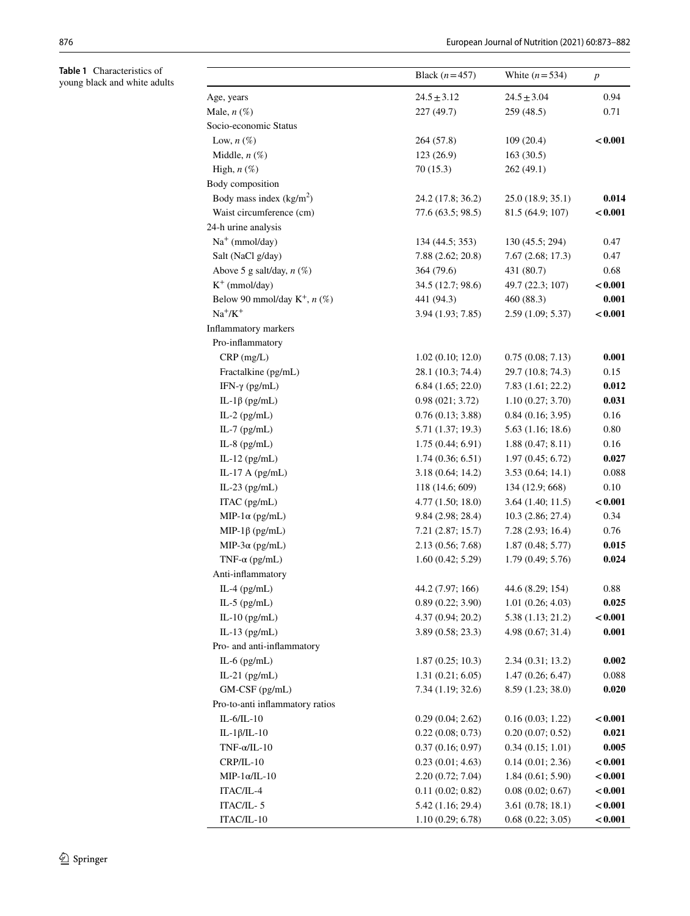<span id="page-3-0"></span>

| Table 1 Characteristics of<br>young black and white adults |                                   | Black $(n=457)$   | White $(n=534)$   | $\boldsymbol{p}$ |
|------------------------------------------------------------|-----------------------------------|-------------------|-------------------|------------------|
|                                                            | Age, years                        | $24.5 \pm 3.12$   | $24.5 \pm 3.04$   | 0.94             |
|                                                            | Male, $n$ $(\%)$                  | 227 (49.7)        | 259 (48.5)        | 0.71             |
|                                                            | Socio-economic Status             |                   |                   |                  |
|                                                            | Low, $n(\%)$                      | 264 (57.8)        | 109(20.4)         | < 0.001          |
|                                                            | Middle, $n$ $(\%)$                | 123 (26.9)        | 163(30.5)         |                  |
|                                                            | High, $n$ $(\%)$                  | 70(15.3)          | 262(49.1)         |                  |
|                                                            | Body composition                  |                   |                   |                  |
|                                                            | Body mass index $(kg/m2)$         | 24.2 (17.8; 36.2) | 25.0 (18.9; 35.1) | 0.014            |
|                                                            | Waist circumference (cm)          | 77.6 (63.5; 98.5) | 81.5 (64.9; 107)  | < 0.001          |
|                                                            | 24-h urine analysis               |                   |                   |                  |
|                                                            | $Na+$ (mmol/day)                  | 134 (44.5; 353)   | 130 (45.5; 294)   | 0.47             |
|                                                            | Salt (NaCl g/day)                 | 7.88 (2.62; 20.8) | 7.67(2.68; 17.3)  | 0.47             |
|                                                            | Above 5 g salt/day, $n$ (%)       | 364 (79.6)        | 431 (80.7)        | 0.68             |
|                                                            | $K^+$ (mmol/day)                  | 34.5 (12.7; 98.6) | 49.7 (22.3; 107)  | < 0.001          |
|                                                            | Below 90 mmol/day $K^+$ , $n$ (%) | 441 (94.3)        | 460 (88.3)        | 0.001            |
|                                                            | $Na^+/K^+$                        | 3.94 (1.93; 7.85) | 2.59(1.09; 5.37)  | < 0.001          |
|                                                            | Inflammatory markers              |                   |                   |                  |
|                                                            | Pro-inflammatory                  |                   |                   |                  |
|                                                            | $CRP$ (mg/L)                      | 1.02(0.10; 12.0)  | 0.75(0.08; 7.13)  | 0.001            |
|                                                            | Fractalkine (pg/mL)               | 28.1 (10.3; 74.4) | 29.7 (10.8; 74.3) | 0.15             |
|                                                            | IFN- $\gamma$ (pg/mL)             | 6.84(1.65; 22.0)  | 7.83(1.61; 22.2)  | 0.012            |
|                                                            | IL-1 $\beta$ (pg/mL)              | 0.98(021; 3.72)   | 1.10(0.27; 3.70)  | 0.031            |
|                                                            | IL-2 $(pg/mL)$                    | 0.76(0.13; 3.88)  | 0.84(0.16; 3.95)  | 0.16             |
|                                                            | IL-7 $(pg/mL)$                    | 5.71 (1.37; 19.3) | 5.63(1.16; 18.6)  | 0.80             |
|                                                            | IL-8 $(pg/mL)$                    | 1.75(0.44; 6.91)  | 1.88(0.47; 8.11)  | 0.16             |
|                                                            | IL-12 $(pg/mL)$                   | 1.74(0.36; 6.51)  | 1.97(0.45; 6.72)  | 0.027            |
|                                                            | IL-17 A $(pg/mL)$                 | 3.18 (0.64; 14.2) | 3.53(0.64; 14.1)  | 0.088            |
|                                                            | IL-23 (pg/mL)                     | 118 (14.6; 609)   | 134 (12.9; 668)   | 0.10             |
|                                                            | ITAC (pg/mL)                      | 4.77 (1.50; 18.0) | 3.64(1.40; 11.5)  | < 0.001          |
|                                                            | MIP-1 $\alpha$ (pg/mL)            | 9.84 (2.98; 28.4) | 10.3 (2.86; 27.4) | 0.34             |
|                                                            | MIP-1 $\beta$ (pg/mL)             | 7.21(2.87; 15.7)  | 7.28(2.93; 16.4)  | 0.76             |
|                                                            | MIP-3 $\alpha$ (pg/mL)            | 2.13 (0.56; 7.68) | 1.87(0.48; 5.77)  | 0.015            |
|                                                            | TNF- $\alpha$ (pg/mL)             | 1.60(0.42; 5.29)  | 1.79(0.49; 5.76)  | 0.024            |
|                                                            | Anti-inflammatory                 |                   |                   |                  |
|                                                            | IL-4 $(pg/mL)$                    | 44.2 (7.97; 166)  | 44.6 (8.29; 154)  | 0.88             |
|                                                            | IL-5 $(pg/mL)$                    | 0.89(0.22; 3.90)  | 1.01(0.26; 4.03)  | 0.025            |
|                                                            | IL-10 $(pg/mL)$                   | 4.37 (0.94; 20.2) | 5.38 (1.13; 21.2) | < 0.001          |
|                                                            | IL-13 $(pg/mL)$                   | 3.89(0.58; 23.3)  | 4.98 (0.67; 31.4) | 0.001            |
|                                                            | Pro- and anti-inflammatory        |                   |                   |                  |
|                                                            | IL-6 $(pg/mL)$                    | 1.87(0.25; 10.3)  | 2.34(0.31; 13.2)  | 0.002            |
|                                                            | IL-21 $(pg/mL)$                   | 1.31(0.21; 6.05)  | 1.47(0.26; 6.47)  | 0.088            |
|                                                            | GM-CSF (pg/mL)                    | 7.34 (1.19; 32.6) | 8.59 (1.23; 38.0) | 0.020            |
|                                                            | Pro-to-anti inflammatory ratios   |                   |                   |                  |
|                                                            | $IL-6/IL-10$                      | 0.29(0.04; 2.62)  | 0.16(0.03; 1.22)  | < 0.001          |
|                                                            | IL-1 $\beta$ /IL-10               | 0.22(0.08; 0.73)  | 0.20(0.07; 0.52)  | 0.021            |
|                                                            | $TNF-\alpha/IL-10$                | 0.37(0.16; 0.97)  | 0.34(0.15; 1.01)  | 0.005            |
|                                                            | CRP/IL-10                         | 0.23(0.01; 4.63)  | 0.14(0.01; 2.36)  | < 0.001          |
|                                                            | $MIP-1\alpha/IL-10$               | 2.20(0.72; 7.04)  | 1.84(0.61; 5.90)  | < 0.001          |
|                                                            | ITAC/IL-4                         | 0.11(0.02; 0.82)  | 0.08(0.02; 0.67)  | < 0.001          |
|                                                            | ITAC/IL-5                         | 5.42 (1.16; 29.4) | 3.61(0.78; 18.1)  | < 0.001          |
|                                                            | ITAC/IL-10                        | 1.10(0.29; 6.78)  | 0.68(0.22; 3.05)  | < 0.001          |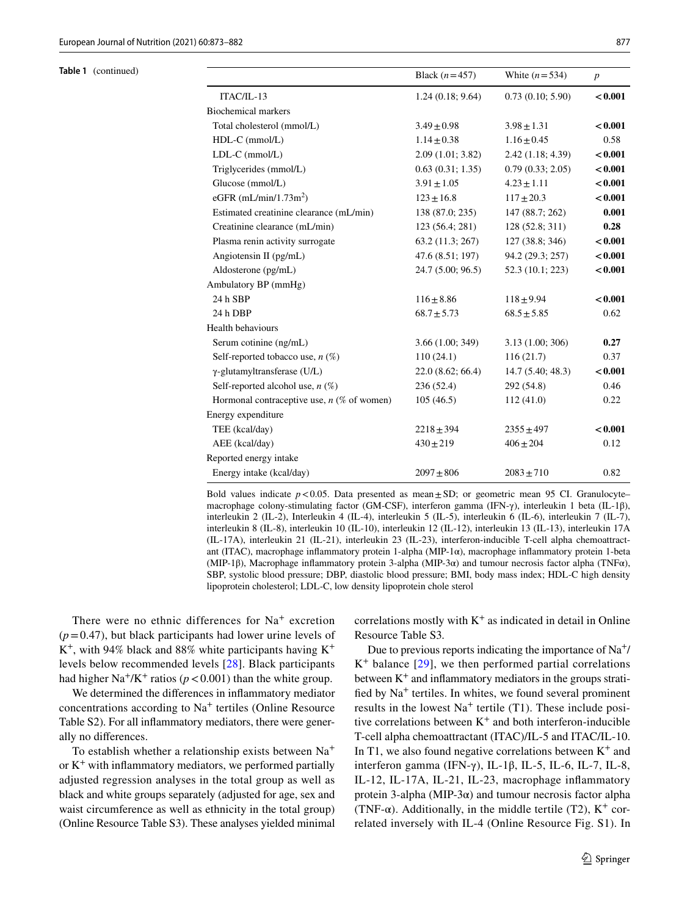| Table 1 (continued) |                                              | Black $(n=457)$  | White $(n=534)$  | $\boldsymbol{p}$ |
|---------------------|----------------------------------------------|------------------|------------------|------------------|
|                     | ITAC/IL-13                                   | 1.24(0.18; 9.64) | 0.73(0.10; 5.90) | < 0.001          |
|                     | <b>Biochemical markers</b>                   |                  |                  |                  |
|                     | Total cholesterol (mmol/L)                   | $3.49 \pm 0.98$  | $3.98 \pm 1.31$  | < 0.001          |
|                     | $HDL-C$ (mmol/L)                             | $1.14 \pm 0.38$  | $1.16 \pm 0.45$  | 0.58             |
|                     | $LDL-C$ (mmol/L)                             | 2.09(1.01; 3.82) | 2.42(1.18; 4.39) | < 0.001          |
|                     | Triglycerides (mmol/L)                       | 0.63(0.31; 1.35) | 0.79(0.33; 2.05) | < 0.001          |
|                     | Glucose (mmol/L)                             | $3.91 \pm 1.05$  | $4.23 \pm 1.11$  | < 0.001          |
|                     | eGFR $(mL/min/1.73m2)$                       | $123 \pm 16.8$   | $117 \pm 20.3$   | < 0.001          |
|                     | Estimated creatinine clearance (mL/min)      | 138 (87.0; 235)  | 147 (88.7; 262)  | 0.001            |
|                     | Creatinine clearance (mL/min)                | 123 (56.4; 281)  | 128 (52.8; 311)  | 0.28             |
|                     | Plasma renin activity surrogate              | 63.2 (11.3; 267) | 127 (38.8; 346)  | < 0.001          |
|                     | Angiotensin II (pg/mL)                       | 47.6 (8.51; 197) | 94.2 (29.3; 257) | < 0.001          |
|                     | Aldosterone (pg/mL)                          | 24.7(5.00; 96.5) | 52.3 (10.1; 223) | < 0.001          |
|                     | Ambulatory BP (mmHg)                         |                  |                  |                  |
|                     | 24 h SBP                                     | $116 \pm 8.86$   | $118 + 9.94$     | < 0.001          |
|                     | 24 h DBP                                     | $68.7 \pm 5.73$  | $68.5 \pm 5.85$  | 0.62             |
|                     | Health behaviours                            |                  |                  |                  |
|                     | Serum cotinine (ng/mL)                       | 3.66 (1.00; 349) | 3.13(1.00; 306)  | 0.27             |
|                     | Self-reported tobacco use, $n$ (%)           | 110(24.1)        | 116(21.7)        | 0.37             |
|                     | $\gamma$ -glutamyltransferase (U/L)          | 22.0(8.62; 66.4) | 14.7(5.40; 48.3) | < 0.001          |
|                     | Self-reported alcohol use, $n$ (%)           | 236(52.4)        | 292(54.8)        | 0.46             |
|                     | Hormonal contraceptive use, $n$ (% of women) | 105(46.5)        | 112(41.0)        | 0.22             |
|                     | Energy expenditure                           |                  |                  |                  |
|                     | TEE (kcal/day)                               | $2218 \pm 394$   | $2355 \pm 497$   | < 0.001          |
|                     | AEE (kcal/day)                               | $430 \pm 219$    | $406 \pm 204$    | 0.12             |
|                     | Reported energy intake                       |                  |                  |                  |
|                     | Energy intake (kcal/day)                     | $2097 \pm 806$   | $2083 \pm 710$   | 0.82             |

Bold values indicate  $p < 0.05$ . Data presented as mean $\pm$ SD; or geometric mean 95 CI. Granulocyte– macrophage colony-stimulating factor (GM-CSF), interferon gamma (IFN-γ), interleukin 1 beta (IL-1β), interleukin 2 (IL-2), Interleukin 4 (IL-4), interleukin 5 (IL-5), interleukin 6 (IL-6), interleukin 7 (IL-7), interleukin 8 (IL-8), interleukin 10 (IL-10), interleukin 12 (IL-12), interleukin 13 (IL-13), interleukin 17A (IL-17A), interleukin 21 (IL-21), interleukin 23 (IL-23), interferon-inducible T-cell alpha chemoattractant (ITAC), macrophage infammatory protein 1-alpha (MIP-1α), macrophage infammatory protein 1-beta (MIP-1β), Macrophage infammatory protein 3-alpha (MIP-3α) and tumour necrosis factor alpha (TNFα), SBP, systolic blood pressure; DBP, diastolic blood pressure; BMI, body mass index; HDL-C high density lipoprotein cholesterol; LDL-C, low density lipoprotein chole sterol

There were no ethnic differences for  $Na<sup>+</sup>$  excretion  $(p=0.47)$ , but black participants had lower urine levels of  $K^+$ , with 94% black and 88% white participants having  $K^+$ levels below recommended levels [\[28\]](#page-9-14). Black participants had higher Na<sup>+</sup>/K<sup>+</sup> ratios ( $p < 0.001$ ) than the white group.

We determined the diferences in infammatory mediator concentrations according to  $Na<sup>+</sup>$  tertiles (Online Resource Table S2). For all infammatory mediators, there were generally no diferences.

To establish whether a relationship exists between Na<sup>+</sup> or  $K^+$  with inflammatory mediators, we performed partially adjusted regression analyses in the total group as well as black and white groups separately (adjusted for age, sex and waist circumference as well as ethnicity in the total group) (Online Resource Table S3). These analyses yielded minimal correlations mostly with  $K^+$  as indicated in detail in Online Resource Table S3*.*

Due to previous reports indicating the importance of  $\text{Na}^+\text{/}$  $K^+$  balance [[29](#page-9-15)], we then performed partial correlations between  $K^+$  and inflammatory mediators in the groups stratifed by Na+ tertiles. In whites, we found several prominent results in the lowest  $Na<sup>+</sup>$  tertile (T1). These include positive correlations between  $K^+$  and both interferon-inducible T-cell alpha chemoattractant (ITAC)/IL-5 and ITAC/IL-10. In T1, we also found negative correlations between  $K^+$  and interferon gamma (IFN-γ), IL-1β, IL-5, IL-6, IL-7, IL-8, IL-12, IL-17A, IL-21, IL-23, macrophage infammatory protein 3-alpha (MIP-3 $\alpha$ ) and tumour necrosis factor alpha (TNF- $\alpha$ ). Additionally, in the middle tertile (T2), K<sup>+</sup> correlated inversely with IL-4 (Online Resource Fig. S1). In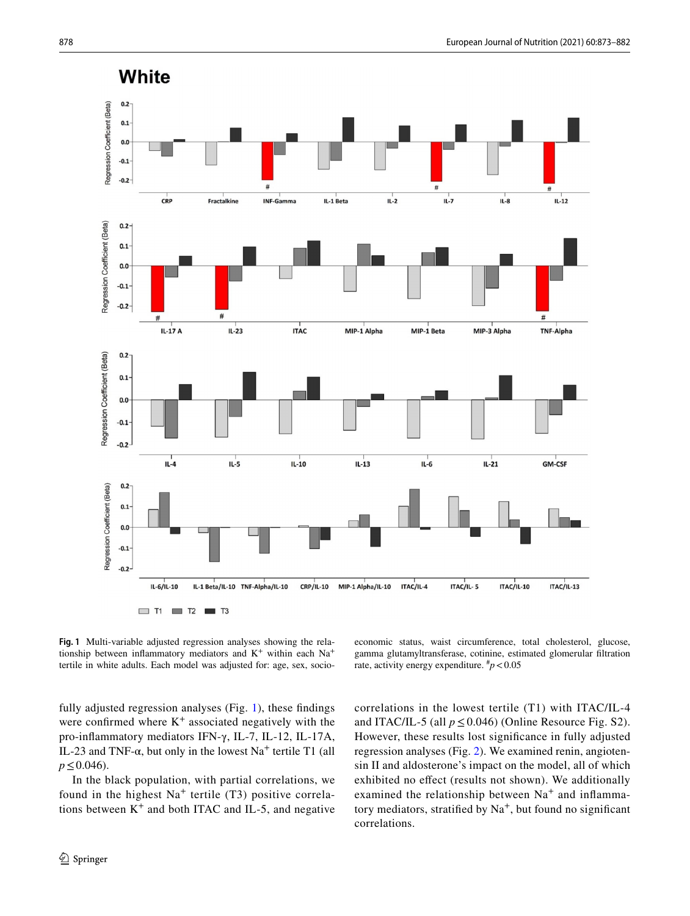

<span id="page-5-0"></span>**Fig. 1** Multi-variable adjusted regression analyses showing the relationship between inflammatory mediators and  $K^+$  within each  $Na^+$ tertile in white adults. Each model was adjusted for: age, sex, socio-

fully adjusted regression analyses (Fig. [1](#page-5-0)), these fndings were confirmed where  $K^+$  associated negatively with the pro-infammatory mediators IFN-γ, IL-7, IL-12, IL-17A, IL-23 and TNF- $\alpha$ , but only in the lowest Na<sup>+</sup> tertile T1 (all *p*≤0.046).

In the black population, with partial correlations, we found in the highest  $Na<sup>+</sup>$  tertile (T3) positive correlations between  $K^+$  and both ITAC and IL-5, and negative

economic status, waist circumference, total cholesterol, glucose, gamma glutamyltransferase, cotinine, estimated glomerular fltration rate, activity energy expenditure.  $\frac{h}{p}$  < 0.05

correlations in the lowest tertile (T1) with ITAC/IL-4 and ITAC/IL-5 (all  $p \le 0.046$ ) (Online Resource Fig. S2). However, these results lost signifcance in fully adjusted regression analyses (Fig. [2](#page-6-0)). We examined renin, angiotensin II and aldosterone's impact on the model, all of which exhibited no efect (results not shown). We additionally examined the relationship between  $Na<sup>+</sup>$  and inflammatory mediators, stratified by  $Na<sup>+</sup>$ , but found no significant correlations.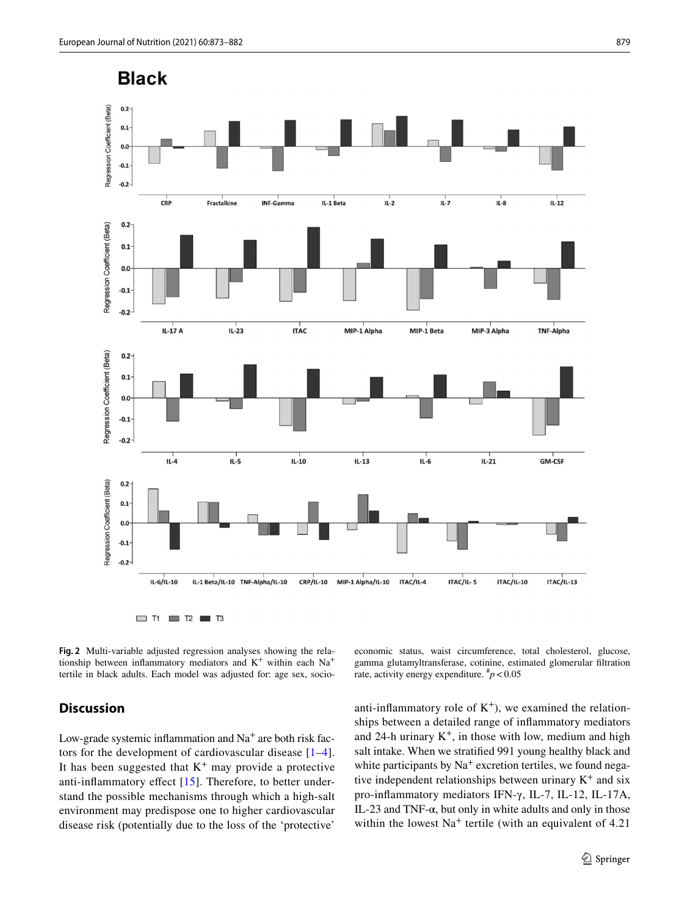

<span id="page-6-0"></span>**Fig. 2** Multi-variable adjusted regression analyses showing the relationship between inflammatory mediators and  $K^+$  within each  $Na^+$ tertile in black adults. Each model was adjusted for: age sex, socio-

# **Discussion**

Low-grade systemic inflammation and  $Na<sup>+</sup>$  are both risk factors for the development of cardiovascular disease [[1–](#page-8-0)[4](#page-8-2)]. It has been suggested that  $K^+$  may provide a protective anti-inflammatory effect [[15\]](#page-9-1). Therefore, to better understand the possible mechanisms through which a high-salt environment may predispose one to higher cardiovascular disease risk (potentially due to the loss of the 'protective'

economic status, waist circumference, total cholesterol, glucose, gamma glutamyltransferase, cotinine, estimated glomerular fltration rate, activity energy expenditure.  $\frac{h}{p}$  < 0.05

anti-inflammatory role of  $K^+$ ), we examined the relationships between a detailed range of infammatory mediators and 24-h urinary  $K^+$ , in those with low, medium and high salt intake. When we stratifed 991 young healthy black and white participants by  $Na<sup>+</sup>$  excretion tertiles, we found negative independent relationships between urinary  $K^+$  and six pro-infammatory mediators IFN-γ, IL-7, IL-12, IL-17A, IL-23 and TNF- $\alpha$ , but only in white adults and only in those within the lowest  $Na<sup>+</sup>$  tertile (with an equivalent of 4.21)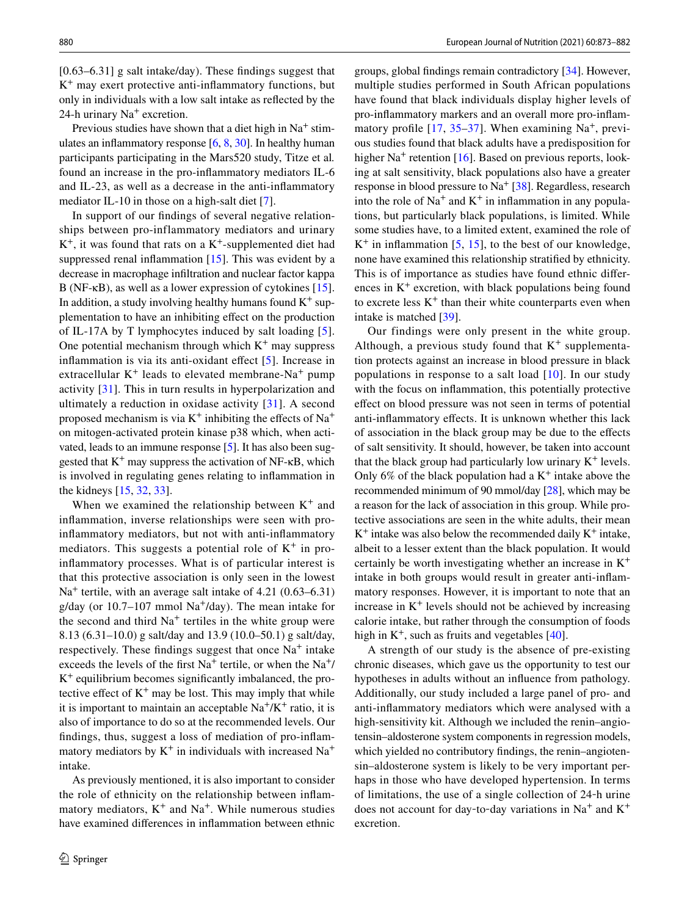[0.63–6.31] g salt intake/day). These findings suggest that  $K^+$  may exert protective anti-inflammatory functions, but only in individuals with a low salt intake as refected by the 24-h urinary  $Na<sup>+</sup>$  excretion.

Previous studies have shown that a diet high in  $Na<sup>+</sup>$  stimulates an infammatory response [[6](#page-8-11), [8](#page-8-5), [30\]](#page-9-16). In healthy human participants participating in the Mars520 study, Titze et al*.* found an increase in the pro-infammatory mediators IL-6 and IL-23, as well as a decrease in the anti-infammatory mediator IL-10 in those on a high-salt diet [\[7\]](#page-8-4).

In support of our fndings of several negative relationships between pro-inflammatory mediators and urinary  $K^+$ , it was found that rats on a  $K^+$ -supplemented diet had suppressed renal infammation [[15\]](#page-9-1). This was evident by a decrease in macrophage infltration and nuclear factor kappa B (NF-κB), as well as a lower expression of cytokines [\[15](#page-9-1)]. In addition, a study involving healthy humans found  $K^+$  supplementation to have an inhibiting efect on the production of IL-17A by T lymphocytes induced by salt loading [[5](#page-8-3)]. One potential mechanism through which  $K^+$  may suppress infammation is via its anti-oxidant efect [[5\]](#page-8-3). Increase in extracellular  $K^+$  leads to elevated membrane-Na<sup>+</sup> pump activity [\[31](#page-9-17)]. This in turn results in hyperpolarization and ultimately a reduction in oxidase activity  $[31]$ . A second proposed mechanism is via  $K^+$  inhibiting the effects of Na<sup>+</sup> on mitogen-activated protein kinase p38 which, when activated, leads to an immune response [\[5](#page-8-3)]. It has also been suggested that  $K^+$  may suppress the activation of NF- $\kappa$ B, which is involved in regulating genes relating to infammation in the kidneys [[15,](#page-9-1) [32,](#page-9-18) [33](#page-9-19)].

When we examined the relationship between  $K^+$  and infammation, inverse relationships were seen with proinfammatory mediators, but not with anti-infammatory mediators. This suggests a potential role of  $K^+$  in proinfammatory processes. What is of particular interest is that this protective association is only seen in the lowest  $Na<sup>+</sup>$  tertile, with an average salt intake of 4.21 (0.63–6.31) g/day (or  $10.7-107$  mmol Na<sup>+</sup>/day). The mean intake for the second and third  $Na<sup>+</sup>$  tertiles in the white group were 8.13 (6.31–10.0) g salt/day and 13.9 (10.0–50.1) g salt/day, respectively. These findings suggest that once  $Na<sup>+</sup>$  intake exceeds the levels of the first  $Na<sup>+</sup>$  tertile, or when the  $Na<sup>+</sup>/$  $K^+$  equilibrium becomes significantly imbalanced, the protective effect of  $K^+$  may be lost. This may imply that while it is important to maintain an acceptable  $Na^+/K^+$  ratio, it is also of importance to do so at the recommended levels. Our fndings, thus, suggest a loss of mediation of pro-infammatory mediators by  $K^+$  in individuals with increased Na<sup>+</sup> intake.

As previously mentioned, it is also important to consider the role of ethnicity on the relationship between infammatory mediators,  $K^+$  and Na<sup>+</sup>. While numerous studies have examined diferences in infammation between ethnic groups, global fndings remain contradictory [\[34](#page-9-20)]. However, multiple studies performed in South African populations have found that black individuals display higher levels of pro-infammatory markers and an overall more pro-infammatory profile  $[17, 35-37]$  $[17, 35-37]$  $[17, 35-37]$  $[17, 35-37]$ . When examining Na<sup>+</sup>, previous studies found that black adults have a predisposition for higher  $Na<sup>+</sup>$  retention [[16](#page-9-2)]. Based on previous reports, looking at salt sensitivity, black populations also have a greater response in blood pressure to  $Na<sup>+</sup> [38]$  $Na<sup>+</sup> [38]$  $Na<sup>+</sup> [38]$ . Regardless, research into the role of  $Na<sup>+</sup>$  and  $K<sup>+</sup>$  in inflammation in any populations, but particularly black populations, is limited. While some studies have, to a limited extent, examined the role of  $K^+$  in inflammation [\[5,](#page-8-3) [15](#page-9-1)], to the best of our knowledge, none have examined this relationship stratifed by ethnicity. This is of importance as studies have found ethnic diferences in  $K^+$  excretion, with black populations being found to excrete less  $K^+$  than their white counterparts even when intake is matched [\[39](#page-9-24)].

Our findings were only present in the white group. Although, a previous study found that  $K^+$  supplementation protects against an increase in blood pressure in black populations in response to a salt load [\[10\]](#page-8-7). In our study with the focus on infammation, this potentially protective efect on blood pressure was not seen in terms of potential anti-infammatory efects. It is unknown whether this lack of association in the black group may be due to the efects of salt sensitivity. It should, however, be taken into account that the black group had particularly low urinary  $K^+$  levels. Only 6% of the black population had a  $K^+$  intake above the recommended minimum of 90 mmol/day [\[28](#page-9-14)], which may be a reason for the lack of association in this group. While protective associations are seen in the white adults, their mean  $K^+$  intake was also below the recommended daily  $K^+$  intake, albeit to a lesser extent than the black population. It would certainly be worth investigating whether an increase in  $K^+$ intake in both groups would result in greater anti-infammatory responses. However, it is important to note that an increase in  $K^+$  levels should not be achieved by increasing calorie intake, but rather through the consumption of foods high in  $K^+$ , such as fruits and vegetables [[40\]](#page-9-25).

A strength of our study is the absence of pre-existing chronic diseases, which gave us the opportunity to test our hypotheses in adults without an infuence from pathology. Additionally, our study included a large panel of pro- and anti-infammatory mediators which were analysed with a high-sensitivity kit. Although we included the renin–angiotensin–aldosterone system components in regression models, which yielded no contributory fndings, the renin–angiotensin–aldosterone system is likely to be very important perhaps in those who have developed hypertension. In terms of limitations, the use of a single collection of 24‐h urine does not account for day-to-day variations in  $Na<sup>+</sup>$  and  $K<sup>+</sup>$ excretion.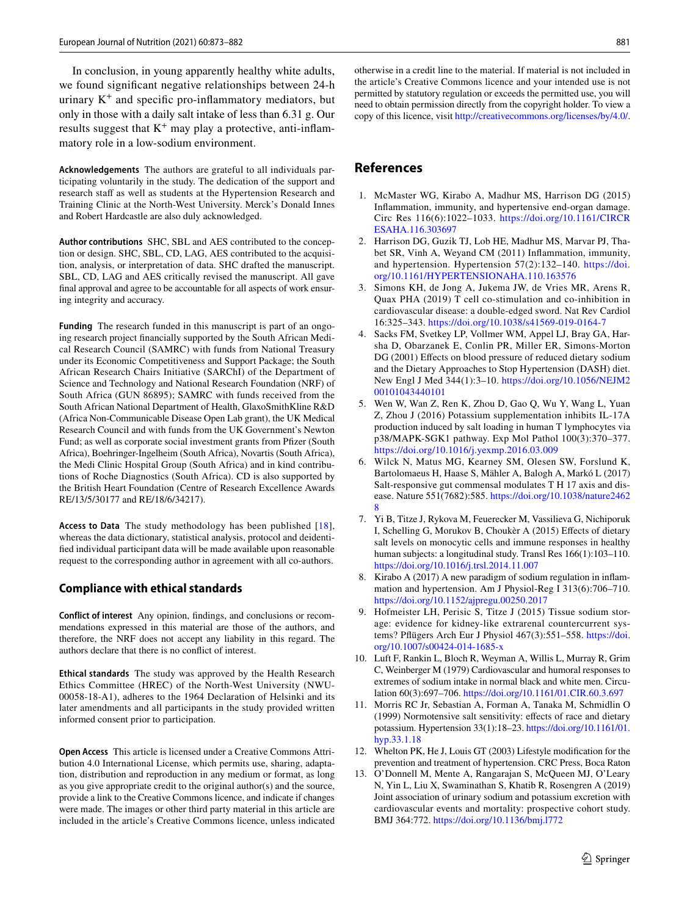In conclusion, in young apparently healthy white adults, we found signifcant negative relationships between 24-h urinary  $K^+$  and specific pro-inflammatory mediators, but only in those with a daily salt intake of less than 6.31 g. Our results suggest that  $K^+$  may play a protective, anti-inflammatory role in a low-sodium environment.

**Acknowledgements** The authors are grateful to all individuals participating voluntarily in the study. The dedication of the support and research staff as well as students at the Hypertension Research and Training Clinic at the North-West University. Merck's Donald Innes and Robert Hardcastle are also duly acknowledged.

**Author contributions** SHC, SBL and AES contributed to the conception or design. SHC, SBL, CD, LAG, AES contributed to the acquisition, analysis, or interpretation of data. SHC drafted the manuscript. SBL, CD, LAG and AES critically revised the manuscript. All gave fnal approval and agree to be accountable for all aspects of work ensuring integrity and accuracy.

**Funding** The research funded in this manuscript is part of an ongoing research project fnancially supported by the South African Medical Research Council (SAMRC) with funds from National Treasury under its Economic Competitiveness and Support Package; the South African Research Chairs Initiative (SARChI) of the Department of Science and Technology and National Research Foundation (NRF) of South Africa (GUN 86895); SAMRC with funds received from the South African National Department of Health, GlaxoSmithKline R&D (Africa Non-Communicable Disease Open Lab grant), the UK Medical Research Council and with funds from the UK Government's Newton Fund; as well as corporate social investment grants from Pfizer (South Africa), Boehringer-Ingelheim (South Africa), Novartis (South Africa), the Medi Clinic Hospital Group (South Africa) and in kind contributions of Roche Diagnostics (South Africa). CD is also supported by the British Heart Foundation (Centre of Research Excellence Awards RE/13/5/30177 and RE/18/6/34217).

**Access to Data** The study methodology has been published [[18\]](#page-9-4), whereas the data dictionary, statistical analysis, protocol and deidentifed individual participant data will be made available upon reasonable request to the corresponding author in agreement with all co-authors.

#### **Compliance with ethical standards**

**Conflict of interest** Any opinion, fndings, and conclusions or recommendations expressed in this material are those of the authors, and therefore, the NRF does not accept any liability in this regard. The authors declare that there is no confict of interest.

**Ethical standards** The study was approved by the Health Research Ethics Committee (HREC) of the North-West University (NWU-00058-18-A1), adheres to the 1964 Declaration of Helsinki and its later amendments and all participants in the study provided written informed consent prior to participation.

**Open Access** This article is licensed under a Creative Commons Attribution 4.0 International License, which permits use, sharing, adaptation, distribution and reproduction in any medium or format, as long as you give appropriate credit to the original author(s) and the source, provide a link to the Creative Commons licence, and indicate if changes were made. The images or other third party material in this article are included in the article's Creative Commons licence, unless indicated otherwise in a credit line to the material. If material is not included in the article's Creative Commons licence and your intended use is not permitted by statutory regulation or exceeds the permitted use, you will need to obtain permission directly from the copyright holder. To view a copy of this licence, visit<http://creativecommons.org/licenses/by/4.0/>.

## **References**

- <span id="page-8-0"></span>1. McMaster WG, Kirabo A, Madhur MS, Harrison DG (2015) Infammation, immunity, and hypertensive end-organ damage. Circ Res 116(6):1022–1033. [https://doi.org/10.1161/CIRCR](https://doi.org/10.1161/CIRCRESAHA.116.303697) [ESAHA.116.303697](https://doi.org/10.1161/CIRCRESAHA.116.303697)
- 2. Harrison DG, Guzik TJ, Lob HE, Madhur MS, Marvar PJ, Thabet SR, Vinh A, Weyand CM (2011) Infammation, immunity, and hypertension. Hypertension 57(2):132–140. [https://doi.](https://doi.org/10.1161/HYPERTENSIONAHA.110.163576) [org/10.1161/HYPERTENSIONAHA.110.163576](https://doi.org/10.1161/HYPERTENSIONAHA.110.163576)
- <span id="page-8-1"></span>3. Simons KH, de Jong A, Jukema JW, de Vries MR, Arens R, Quax PHA (2019) T cell co-stimulation and co-inhibition in cardiovascular disease: a double-edged sword. Nat Rev Cardiol 16:325–343. <https://doi.org/10.1038/s41569-019-0164-7>
- <span id="page-8-2"></span>4. Sacks FM, Svetkey LP, Vollmer WM, Appel LJ, Bray GA, Harsha D, Obarzanek E, Conlin PR, Miller ER, Simons-Morton DG (2001) Effects on blood pressure of reduced dietary sodium and the Dietary Approaches to Stop Hypertension (DASH) diet. New Engl J Med 344(1):3–10. [https://doi.org/10.1056/NEJM2](https://doi.org/10.1056/NEJM200101043440101) [00101043440101](https://doi.org/10.1056/NEJM200101043440101)
- <span id="page-8-3"></span>5. Wen W, Wan Z, Ren K, Zhou D, Gao Q, Wu Y, Wang L, Yuan Z, Zhou J (2016) Potassium supplementation inhibits IL-17A production induced by salt loading in human T lymphocytes via p38/MAPK-SGK1 pathway. Exp Mol Pathol 100(3):370–377. <https://doi.org/10.1016/j.yexmp.2016.03.009>
- <span id="page-8-11"></span>6. Wilck N, Matus MG, Kearney SM, Olesen SW, Forslund K, Bartolomaeus H, Haase S, Mähler A, Balogh A, Markó L (2017) Salt-responsive gut commensal modulates T H 17 axis and disease. Nature 551(7682):585. [https://doi.org/10.1038/nature2462](https://doi.org/10.1038/nature24628) [8](https://doi.org/10.1038/nature24628)
- <span id="page-8-4"></span>7. Yi B, Titze J, Rykova M, Feuerecker M, Vassilieva G, Nichiporuk I, Schelling G, Morukov B, Choukèr A (2015) Efects of dietary salt levels on monocytic cells and immune responses in healthy human subjects: a longitudinal study. Transl Res 166(1):103–110. <https://doi.org/10.1016/j.trsl.2014.11.007>
- <span id="page-8-5"></span>8. Kirabo A (2017) A new paradigm of sodium regulation in infammation and hypertension. Am J Physiol-Reg I 313(6):706–710. <https://doi.org/10.1152/ajpregu.00250.2017>
- <span id="page-8-6"></span>9. Hofmeister LH, Perisic S, Titze J (2015) Tissue sodium storage: evidence for kidney-like extrarenal countercurrent systems? Pfügers Arch Eur J Physiol 467(3):551–558. [https://doi.](https://doi.org/10.1007/s00424-014-1685-x) [org/10.1007/s00424-014-1685-x](https://doi.org/10.1007/s00424-014-1685-x)
- <span id="page-8-7"></span>10. Luft F, Rankin L, Bloch R, Weyman A, Willis L, Murray R, Grim C, Weinberger M (1979) Cardiovascular and humoral responses to extremes of sodium intake in normal black and white men. Circulation 60(3):697–706.<https://doi.org/10.1161/01.CIR.60.3.697>
- <span id="page-8-8"></span>11. Morris RC Jr, Sebastian A, Forman A, Tanaka M, Schmidlin O (1999) Normotensive salt sensitivity: efects of race and dietary potassium. Hypertension 33(1):18–23. [https://doi.org/10.1161/01.](https://doi.org/10.1161/01.hyp.33.1.18) [hyp.33.1.18](https://doi.org/10.1161/01.hyp.33.1.18)
- <span id="page-8-9"></span>12. Whelton PK, He J, Louis GT (2003) Lifestyle modifcation for the prevention and treatment of hypertension. CRC Press, Boca Raton
- <span id="page-8-10"></span>13. O'Donnell M, Mente A, Rangarajan S, McQueen MJ, O'Leary N, Yin L, Liu X, Swaminathan S, Khatib R, Rosengren A (2019) Joint association of urinary sodium and potassium excretion with cardiovascular events and mortality: prospective cohort study. BMJ 364:772.<https://doi.org/10.1136/bmj.l772>